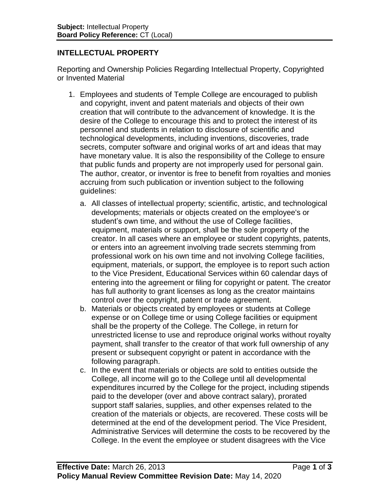## **INTELLECTUAL PROPERTY**

Reporting and Ownership Policies Regarding Intellectual Property, Copyrighted or Invented Material

- 1. Employees and students of Temple College are encouraged to publish and copyright, invent and patent materials and objects of their own creation that will contribute to the advancement of knowledge. It is the desire of the College to encourage this and to protect the interest of its personnel and students in relation to disclosure of scientific and technological developments, including inventions, discoveries, trade secrets, computer software and original works of art and ideas that may have monetary value. It is also the responsibility of the College to ensure that public funds and property are not improperly used for personal gain. The author, creator, or inventor is free to benefit from royalties and monies accruing from such publication or invention subject to the following guidelines:
	- a. All classes of intellectual property; scientific, artistic, and technological developments; materials or objects created on the employee's or student's own time, and without the use of College facilities, equipment, materials or support, shall be the sole property of the creator. In all cases where an employee or student copyrights, patents, or enters into an agreement involving trade secrets stemming from professional work on his own time and not involving College facilities, equipment, materials, or support, the employee is to report such action to the Vice President, Educational Services within 60 calendar days of entering into the agreement or filing for copyright or patent. The creator has full authority to grant licenses as long as the creator maintains control over the copyright, patent or trade agreement.
	- b. Materials or objects created by employees or students at College expense or on College time or using College facilities or equipment shall be the property of the College. The College, in return for unrestricted license to use and reproduce original works without royalty payment, shall transfer to the creator of that work full ownership of any present or subsequent copyright or patent in accordance with the following paragraph.
	- c. In the event that materials or objects are sold to entities outside the College, all income will go to the College until all developmental expenditures incurred by the College for the project, including stipends paid to the developer (over and above contract salary), prorated support staff salaries, supplies, and other expenses related to the creation of the materials or objects, are recovered. These costs will be determined at the end of the development period. The Vice President, Administrative Services will determine the costs to be recovered by the College. In the event the employee or student disagrees with the Vice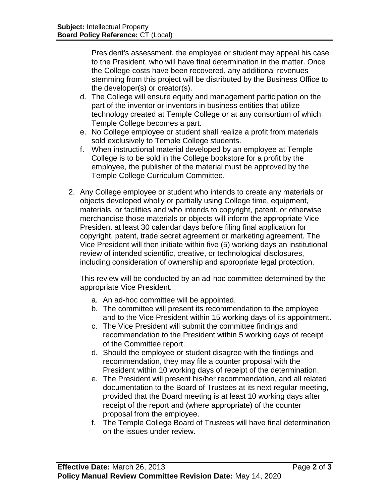President's assessment, the employee or student may appeal his case to the President, who will have final determination in the matter. Once the College costs have been recovered, any additional revenues stemming from this project will be distributed by the Business Office to the developer(s) or creator(s).

- d. The College will ensure equity and management participation on the part of the inventor or inventors in business entities that utilize technology created at Temple College or at any consortium of which Temple College becomes a part.
- e. No College employee or student shall realize a profit from materials sold exclusively to Temple College students.
- f. When instructional material developed by an employee at Temple College is to be sold in the College bookstore for a profit by the employee, the publisher of the material must be approved by the Temple College Curriculum Committee.
- 2. Any College employee or student who intends to create any materials or objects developed wholly or partially using College time, equipment, materials, or facilities and who intends to copyright, patent, or otherwise merchandise those materials or objects will inform the appropriate Vice President at least 30 calendar days before filing final application for copyright, patent, trade secret agreement or marketing agreement. The Vice President will then initiate within five (5) working days an institutional review of intended scientific, creative, or technological disclosures, including consideration of ownership and appropriate legal protection.

This review will be conducted by an ad-hoc committee determined by the appropriate Vice President.

- a. An ad-hoc committee will be appointed.
- b. The committee will present its recommendation to the employee and to the Vice President within 15 working days of its appointment.
- c. The Vice President will submit the committee findings and recommendation to the President within 5 working days of receipt of the Committee report.
- d. Should the employee or student disagree with the findings and recommendation, they may file a counter proposal with the President within 10 working days of receipt of the determination.
- e. The President will present his/her recommendation, and all related documentation to the Board of Trustees at its next regular meeting, provided that the Board meeting is at least 10 working days after receipt of the report and (where appropriate) of the counter proposal from the employee.
- f. The Temple College Board of Trustees will have final determination on the issues under review.